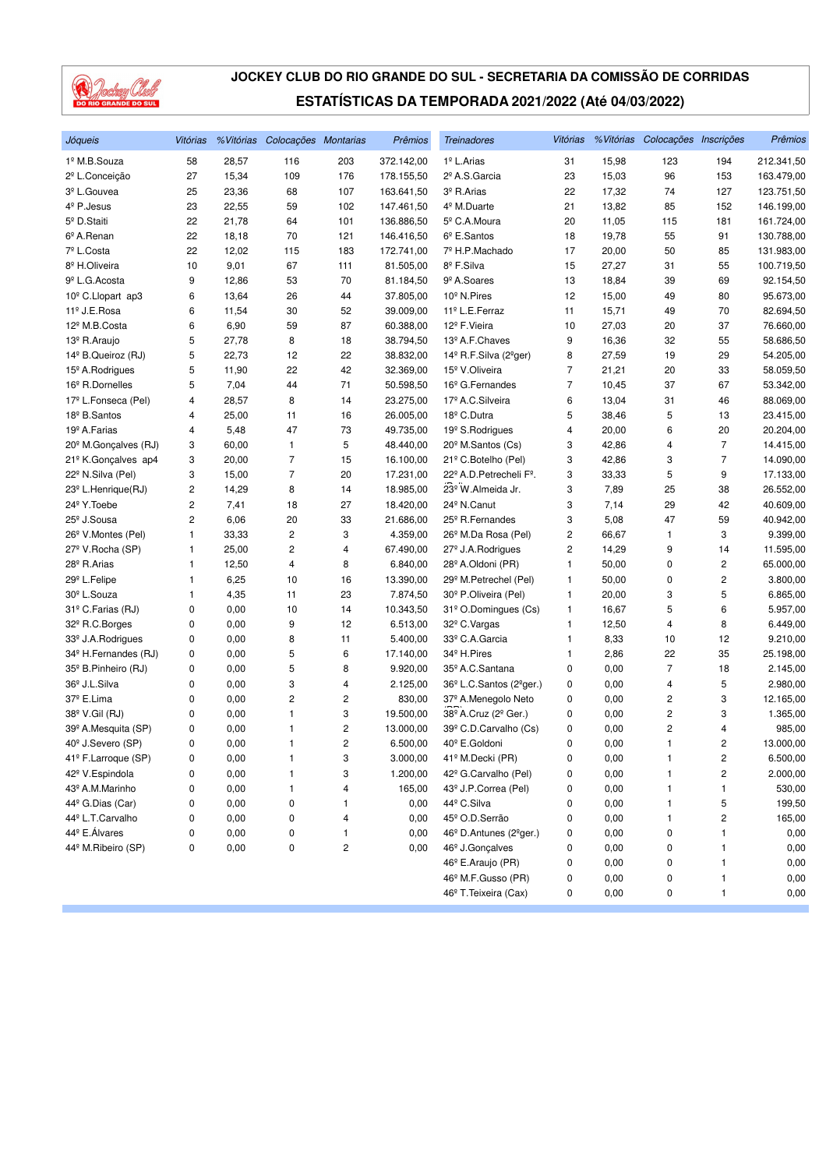

| Jóqueis                                              | Vitórias                |              | % Vitórias Colocações Montarias |                     | Prêmios               | <b>Treinadores</b>                               | Vitórias       |              | % Vitórias Colocações Inscrições |        | Prêmios    |
|------------------------------------------------------|-------------------------|--------------|---------------------------------|---------------------|-----------------------|--------------------------------------------------|----------------|--------------|----------------------------------|--------|------------|
| 1º M.B.Souza                                         | 58                      | 28,57        | 116                             | 203                 | 372.142,00            | 1 <sup>º</sup> L.Arias                           | 31             | 15,98        | 123                              | 194    | 212.341,50 |
| 2º L.Conceição                                       | 27                      | 15,34        | 109                             | 176                 | 178.155,50            | 2º A.S.Garcia                                    | 23             | 15,03        | 96                               | 153    | 163.479,00 |
| 3 <sup>º</sup> L.Gouvea                              | 25                      | 23,36        | 68                              | 107                 | 163.641,50            | 3º R.Arias                                       | 22             | 17,32        | 74                               | 127    | 123.751,50 |
| 4 <sup>º</sup> P.Jesus                               | 23                      | 22,55        | 59                              | 102                 | 147.461,50            | 4 <sup>º</sup> M.Duarte                          | 21             | 13,82        | 85                               | 152    | 146.199,00 |
| 5º D.Staiti                                          | 22                      | 21,78        | 64                              | 101                 | 136.886,50            | 5 <sup>°</sup> C.A.Moura                         | 20             | 11,05        | 115                              | 181    | 161.724,00 |
| 6º A.Renan                                           | 22                      | 18,18        | 70                              | 121                 | 146.416,50            | $6^{\circ}$ E.Santos                             | 18             | 19,78        | 55                               | 91     | 130.788,00 |
| 7º L.Costa                                           | 22                      | 12,02        | 115                             | 183                 | 172.741,00            | 7º H.P.Machado                                   | 17             | 20,00        | 50                               | 85     | 131.983,00 |
| 8 <sup>º</sup> H.Oliveira                            | 10                      | 9,01         | 67                              | 111                 | 81.505,00             | 8º F.Silva                                       | 15             | 27,27        | 31                               | 55     | 100.719,50 |
| 9 <sup>º</sup> L.G. Acosta                           | 9                       | 12,86        | 53                              | 70                  | 81.184,50             | 9 <sup>º</sup> A.Soares                          | 13             | 18,84        | 39                               | 69     | 92.154,50  |
| 10 <sup>°</sup> C.Llopart ap3                        | 6                       | 13,64        | 26                              | 44                  | 37.805,00             | 10 <sup>°</sup> N.Pires                          | 12             | 15,00        | 49                               | 80     | 95.673,00  |
| 11º J.E.Rosa                                         | 6                       | 11,54        | 30                              | 52                  | 39.009,00             | 11 <sup>º</sup> L.E.Ferraz                       | 11             | 15,71        | 49                               | 70     | 82.694,50  |
| 12 <sup>º</sup> M.B.Costa                            | 6                       | 6,90         | 59                              | 87                  | 60.388,00             | 12 <sup>º</sup> F.Vieira                         | 10             | 27,03        | 20                               | 37     | 76.660,00  |
| 13º R.Araujo                                         | 5                       | 27,78        | 8                               | 18                  | 38.794,50             | 13º A.F.Chaves                                   | 9              | 16,36        | 32                               | 55     | 58.686,50  |
| 14 <sup>°</sup> B.Queiroz (RJ)                       | 5                       | 22,73        | 12                              | 22                  | 38.832,00             | 14º R.F.Silva (2ºger)                            | 8              | 27,59        | 19                               | 29     | 54.205,00  |
| 15 <sup>°</sup> A.Rodrigues                          | 5                       | 11,90        | 22                              | 42                  | 32.369,00             | 15 <sup>º</sup> V.Oliveira                       | 7              | 21,21        | 20                               | 33     | 58.059,50  |
| 16 <sup>°</sup> R.Dornelles                          | 5                       | 7,04         | 44                              | 71                  | 50.598,50             | 16 <sup>°</sup> G.Fernandes                      | $\overline{7}$ | 10,45        | 37                               | 67     | 53.342,00  |
| 17º L.Fonseca (Pel)                                  | 4                       | 28,57        | 8                               | 14                  | 23.275,00             | 17 <sup>º</sup> A.C.Silveira                     | 6              | 13,04        | 31                               | 46     | 88.069,00  |
| 18 <sup>º</sup> B.Santos                             | 4                       | 25,00        | 11                              | 16                  | 26.005,00             | 18 <sup>°</sup> C.Dutra                          | 5              | 38,46        | 5                                | 13     | 23.415,00  |
| 19 <sup>º</sup> A.Farias                             | 4                       | 5,48         | 47                              | 73                  | 49.735,00             | 19 <sup>°</sup> S.Rodrigues                      | 4              | 20,00        | 6                                | 20     | 20.204,00  |
| 20 <sup>°</sup> M.Gonçalves (RJ)                     | 3                       | 60,00        | 1                               | 5                   | 48.440,00             | 20 <sup>°</sup> M.Santos (Cs)                    | 3              | 42,86        | 4                                | 7      | 14.415,00  |
| 21º K.Gonçalves ap4                                  | 3                       | 20,00        | $\overline{7}$                  | 15                  | 16.100,00             | 21º C.Botelho (Pel)                              | 3              | 42,86        | 3                                | 7      | 14.090,00  |
| 22º N.Silva (Pel)                                    | 3                       | 15,00        | $\overline{7}$                  | 20                  | 17.231,00             | 22º A.D. Petrecheli Fº.                          | 3              | 33,33        | 5                                | 9      | 17.133,00  |
| 23 <sup>°</sup> L.Henrique(RJ)                       | $\overline{c}$          | 14,29        | 8                               | 14                  | 18.985,00             | 23º W.Almeida Jr.                                | 3              | 7,89         | 25                               | 38     | 26.552,00  |
| 24 <sup>°</sup> Y. Toebe                             | $\overline{\mathbf{c}}$ | 7,41         | 18                              | 27                  | 18.420,00             | 24 <sup>°</sup> N.Canut                          | 3              | 7,14         | 29                               | 42     | 40.609,00  |
| 25 <sup>°</sup> J.Sousa                              | 2                       | 6,06         | 20                              | 33                  | 21.686,00             | 25 <sup>°</sup> R.Fernandes                      | 3              | 5,08         | 47                               | 59     | 40.942,00  |
| 26 <sup>°</sup> V.Montes (Pel)                       | 1                       | 33,33        | $\overline{\mathbf{c}}$         | 3                   | 4.359,00              | 26 <sup>°</sup> M.Da Rosa (Pel)                  | 2              | 66,67        | 1                                | 3      | 9.399,00   |
| 27 <sup>º</sup> V.Rocha (SP)                         | 1                       | 25,00        | 2                               | 4                   | 67.490,00             | 27 <sup>°</sup> J.A.Rodrigues                    | 2              | 14,29        | 9                                | 14     | 11.595,00  |
| 28º R.Arias                                          | 1                       | 12,50        | $\overline{4}$                  | 8                   | 6.840,00              | 28º A.Oldoni (PR)                                | 1              | 50,00        | 0                                | 2      | 65.000,00  |
| 29º L.Felipe                                         | 1                       | 6,25         | 10                              | 16                  | 13.390,00             | 29 <sup>°</sup> M.Petrechel (Pel)                | 1              | 50,00        | 0                                | 2      | 3.800,00   |
| 30 <sup>°</sup> L.Souza                              | $\mathbf{1}$            | 4,35         | 11                              | 23                  | 7.874,50              | 30 <sup>°</sup> P.Oliveira (Pel)                 | 1              | 20,00        | 3                                | 5      | 6.865,00   |
| 31º C.Farias (RJ)                                    | 0                       | 0,00         | 10                              | 14                  | 10.343,50             | 31º O.Domingues (Cs)                             | 1              | 16,67        | 5                                | 6      | 5.957,00   |
| 32º R.C.Borges                                       | 0                       | 0,00         | 9                               | 12                  | 6.513,00              | 32º C.Vargas                                     | 1              | 12,50        | 4                                | 8      | 6.449,00   |
| 33 <sup>°</sup> J.A.Rodrigues                        | 0                       | 0,00         | 8                               | 11                  | 5.400,00              | 33º C.A.Garcia                                   | 1              | 8,33         | 10                               | 12     | 9.210,00   |
| 34 <sup>°</sup> H.Fernandes (RJ)                     | 0                       | 0,00         | 5                               | 6                   | 17.140,00             | 34 <sup>°</sup> H.Pires                          | 1              | 2,86         | 22                               | 35     | 25.198,00  |
| 35 <sup>°</sup> B.Pinheiro (RJ)                      | 0                       | 0,00         | 5                               | 8                   | 9.920,00              | 35º A.C.Santana                                  | 0              | 0,00         | $\overline{7}$                   | 18     | 2.145,00   |
| 36 <sup>°</sup> J.L.Silva                            | 0                       | 0,00         | 3                               | 4                   | 2.125,00              | 36 <sup>°</sup> L.C.Santos (2 <sup>°</sup> ger.) | 0              | 0,00         | 4                                | 5      | 2.980,00   |
| 37º E.Lima                                           | 0                       | 0,00         | $\overline{c}$                  | 2                   | 830,00                | 37º A.Menegolo Neto                              | 0              | 0,00         | 2                                | 3      | 12.165,00  |
| 38 <sup>°</sup> V.Gil (RJ)                           | 0                       | 0,00         | 1                               | 3                   | 19.500,00             | 38 <sup>°</sup> A.Cruz (2 <sup>°</sup> Ger.)     | 0              | 0,00         | 2                                | 3      | 1.365,00   |
|                                                      |                         |              | $\mathbf{1}$                    |                     |                       | 39º C.D.Carvalho (Cs)                            | 0              | 0,00         | 2                                |        | 985,00     |
| 39º A.Mesquita (SP)<br>40 <sup>°</sup> J.Severo (SP) | 0<br>0                  | 0,00<br>0,00 | $\mathbf{1}$                    | 2<br>$\overline{c}$ | 13.000,00<br>6.500,00 | 40 <sup>°</sup> E.Goldoni                        | 0              | 0,00         | 1                                | 4<br>2 | 13.000,00  |
| 41º F.Larroque (SP)                                  |                         |              | $\mathbf{1}$                    |                     | 3.000,00              | 41º M.Decki (PR)                                 | 0              |              | 1                                |        |            |
|                                                      | 0                       | 0,00         |                                 | 3                   |                       |                                                  |                | 0,00         |                                  | 2      | 6.500,00   |
| 42 <sup>º</sup> V.Espindola<br>43º A.M.Marinho       | 0                       | 0,00<br>0,00 | 1                               | 3                   | 1.200,00<br>165,00    | 42º G.Carvalho (Pel)<br>43º J.P.Correa (Pel)     | 0              | 0,00<br>0,00 | 1                                | 2      | 2.000,00   |
|                                                      | 0                       |              | 1                               | 4                   |                       |                                                  | 0              |              | 1                                | 1      | 530,00     |
| 44 <sup>°</sup> G.Dias (Car)                         | 0                       | 0,00         | 0                               | 1                   | 0,00                  | 44º C.Silva                                      | 0              | 0,00         | 1                                | 5      | 199,50     |
| 44º L.T.Carvalho                                     | 0                       | 0,00         | 0                               | 4                   | 0,00                  | 45º O.D.Serrão                                   | 0              | 0,00         | 1                                | 2      | 165,00     |
| 44 <sup>°</sup> E. Álvares                           | 0                       | 0,00         | 0                               | 1                   | 0,00                  | 46 <sup>°</sup> D.Antunes (2 <sup>°</sup> ger.)  | 0              | 0,00         | 0                                | 1      | 0,00       |
| 44º M.Ribeiro (SP)                                   | 0                       | 0,00         | 0                               | 2                   | 0,00                  | 46 <sup>°</sup> J.Gonçalves                      | 0              | 0,00         | 0                                | 1      | 0,00       |
|                                                      |                         |              |                                 |                     |                       | 46 <sup>°</sup> E.Araujo (PR)                    | 0              | 0,00         | 0                                | 1      | 0,00       |
|                                                      |                         |              |                                 |                     |                       | 46 <sup>°</sup> M.F.Gusso (PR)                   | 0              | 0,00         | 0                                | 1      | 0,00       |
|                                                      |                         |              |                                 |                     |                       | 46 <sup>°</sup> T. Teixeira (Cax)                | 0              | 0,00         | 0                                | 1      | 0,00       |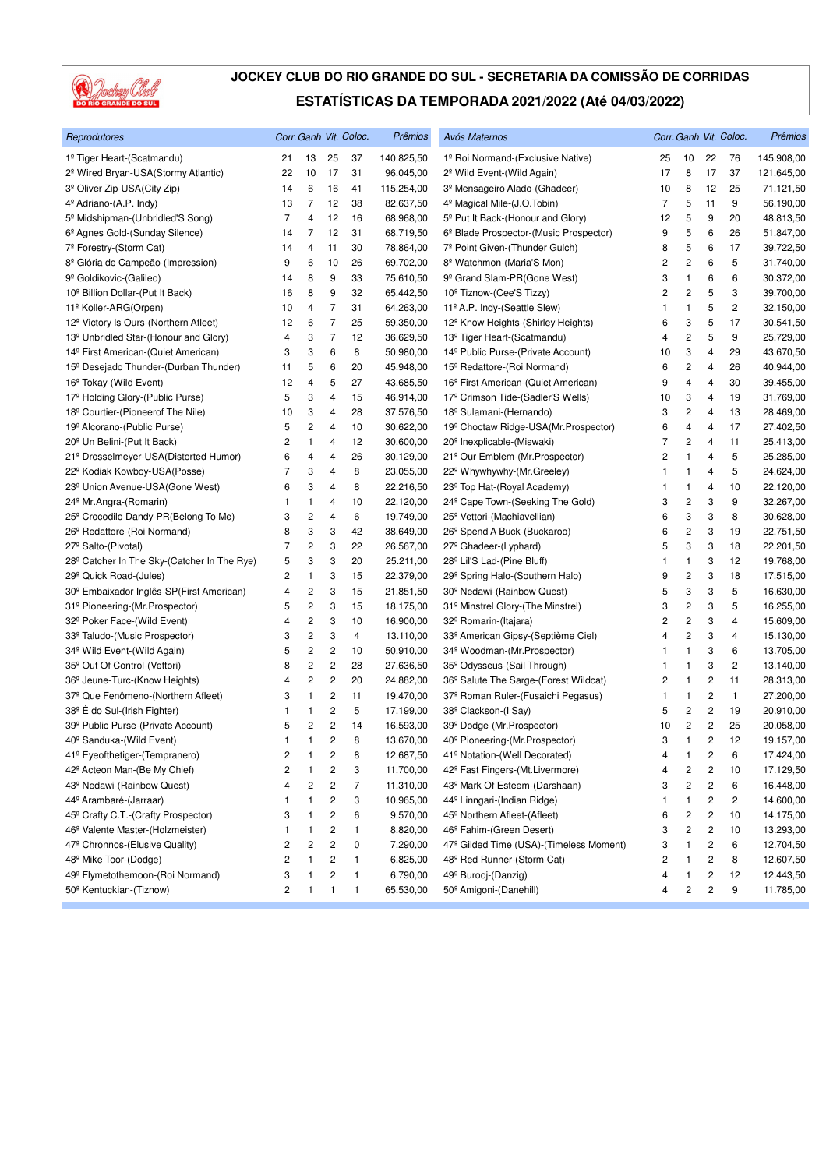

| Reprodutores                                            |                |                         |                         | Corr. Ganh Vit. Coloc. | Prêmios    | Avós Maternos                                     |    |                              |                         | Corr. Ganh Vit. Coloc. | Prêmios    |
|---------------------------------------------------------|----------------|-------------------------|-------------------------|------------------------|------------|---------------------------------------------------|----|------------------------------|-------------------------|------------------------|------------|
| 1º Tiger Heart-(Scatmandu)                              | 21             | 13                      | 25                      | 37                     | 140.825,50 | 1º Roi Normand-(Exclusive Native)                 | 25 | 10                           | 22                      | 76                     | 145.908,00 |
| 2 <sup>º</sup> Wired Bryan-USA(Stormy Atlantic)         | 22             | 10                      | 17                      | 31                     | 96.045,00  | 2 <sup>°</sup> Wild Event-(Wild Again)            | 17 | 8                            | 17                      | 37                     | 121.645,00 |
| 3º Oliver Zip-USA(City Zip)                             | 14             | 6                       | 16                      | 41                     | 115.254,00 | 3º Mensageiro Alado-(Ghadeer)                     | 10 | 8                            | 12                      | 25                     | 71.121,50  |
| 4 <sup>º</sup> Adriano-(A.P. Indy)                      | 13             | 7                       | 12                      | 38                     | 82.637,50  | 4 <sup>º</sup> Magical Mile-(J.O.Tobin)           | 7  | 5                            | 11                      | 9                      | 56.190,00  |
| 5 <sup>°</sup> Midshipman-(Unbridled'S Song)            | 7              | 4                       | 12                      | 16                     | 68.968,00  | 5 <sup>°</sup> Put It Back-(Honour and Glory)     | 12 | 5                            | 9                       | 20                     | 48.813,50  |
| 6º Agnes Gold-(Sunday Silence)                          | 14             | 7                       | 12                      | 31                     | 68.719,50  | 6º Blade Prospector-(Music Prospector)            | 9  | 5                            | 6                       | 26                     | 51.847,00  |
| 7º Forestry-(Storm Cat)                                 | 14             | 4                       | 11                      | 30                     | 78.864,00  | 7º Point Given-(Thunder Gulch)                    | 8  | 5                            | 6                       | 17                     | 39.722,50  |
| 8º Glória de Campeão-(Impression)                       | 9              | 6                       | 10                      | 26                     | 69.702,00  | 8º Watchmon-(Maria'S Mon)                         | 2  | 2                            | 6                       | 5                      | 31.740,00  |
| 9º Goldikovic-(Galileo)                                 | 14             | 8                       | 9                       | 33                     | 75.610,50  | 9 <sup>º</sup> Grand Slam-PR(Gone West)           | 3  | $\mathbf{1}$                 | 6                       | 6                      | 30.372,00  |
| 10 <sup>°</sup> Billion Dollar-(Put It Back)            | 16             | 8                       | 9                       | 32                     | 65.442,50  | 10 <sup>°</sup> Tiznow-(Cee'S Tizzy)              | 2  | 2                            | 5                       | 3                      | 39.700,00  |
| 11º Koller-ARG(Orpen)                                   | 10             | 4                       | 7                       | 31                     | 64.263,00  | 11º A.P. Indy-(Seattle Slew)                      | 1  | $\mathbf{1}$                 | 5                       | 2                      | 32.150,00  |
| 12 <sup>°</sup> Victory Is Ours-(Northern Afleet)       | 12             | 6                       | $\overline{7}$          | 25                     | 59.350,00  | 12 <sup>°</sup> Know Heights-(Shirley Heights)    | 6  | 3                            | 5                       | 17                     | 30.541,50  |
| 13 <sup>º</sup> Unbridled Star-(Honour and Glory)       | 4              | 3                       | 7                       | 12                     | 36.629,50  | 13 <sup>º</sup> Tiger Heart-(Scatmandu)           | 4  | 2                            | 5                       | 9                      | 25.729,00  |
| 14 <sup>º</sup> First American-(Quiet American)         | 3              | 3                       | 6                       | 8                      | 50.980,00  | 14 <sup>°</sup> Public Purse-(Private Account)    | 10 | 3                            | 4                       | 29                     | 43.670,50  |
| 15 <sup>°</sup> Desejado Thunder-(Durban Thunder)       | 11             | 5                       | 6                       | 20                     | 45.948,00  | 15 <sup>°</sup> Redattore-(Roi Normand)           | 6  | 2                            | 4                       | 26                     | 40.944,00  |
| 16 <sup>°</sup> Tokay-(Wild Event)                      | 12             | 4                       | 5                       | 27                     | 43.685,50  | 16 <sup>°</sup> First American-(Quiet American)   | 9  | $\overline{4}$               | 4                       | 30                     | 39.455,00  |
| 17º Holding Glory-(Public Purse)                        | 5              | 3                       | 4                       | 15                     | 46.914,00  | 17 <sup>º</sup> Crimson Tide-(Sadler'S Wells)     | 10 | 3                            | 4                       | 19                     | 31.769,00  |
| 18 <sup>°</sup> Courtier-(Pioneerof The Nile)           | 10             | 3                       | 4                       | 28                     | 37.576,50  | 18 <sup>°</sup> Sulamani-(Hernando)               | 3  | 2                            | 4                       | 13                     | 28.469,00  |
| 19º Alcorano-(Public Purse)                             | 5              | 2                       | 4                       | 10                     | 30.622,00  | 19 <sup>°</sup> Choctaw Ridge-USA(Mr.Prospector)  | 6  | 4                            | 4                       | 17                     | 27.402,50  |
| 20 <sup>°</sup> Un Belini-(Put It Back)                 | 2              | 1                       | 4                       | 12                     | 30.600,00  | 20 <sup>°</sup> Inexplicable-(Miswaki)            | 7  | $\overline{\mathbf{c}}$      | 4                       | 11                     | 25.413,00  |
| 21º Drosselmeyer-USA(Distorted Humor)                   | 6              | 4                       | 4                       | 26                     | 30.129,00  | 21º Our Emblem-(Mr. Prospector)                   | 2  | $\mathbf{1}$                 | 4                       | 5                      | 25.285,00  |
| 22 <sup>°</sup> Kodiak Kowboy-USA(Posse)                | 7              | 3                       | 4                       | 8                      | 23.055,00  | 22 <sup>°</sup> Whywhywhy-(Mr.Greeley)            | 1  | 1                            | 4                       | 5                      | 24.624,00  |
| 23 <sup>°</sup> Union Avenue-USA(Gone West)             | 6              | 3                       | 4                       | 8                      | 22.216,50  | 23 <sup>°</sup> Top Hat-(Royal Academy)           | 1  | 1                            | 4                       | 10                     | 22.120,00  |
| 24 <sup>°</sup> Mr.Angra-(Romarin)                      | 1              | 1                       | 4                       | 10                     | 22.120,00  | 24 <sup>°</sup> Cape Town-(Seeking The Gold)      | 3  | $\overline{\mathbf{c}}$      | 3                       | 9                      | 32.267,00  |
| 25 <sup>°</sup> Crocodilo Dandy-PR(Belong To Me)        | 3              | 2                       | 4                       | 6                      | 19.749,00  | 25 <sup>°</sup> Vettori-(Machiavellian)           | 6  | 3                            | 3                       | 8                      | 30.628,00  |
| 26 <sup>°</sup> Redattore-(Roi Normand)                 | 8              | 3                       | 3                       | 42                     | 38.649,00  | 26 <sup>°</sup> Spend A Buck-(Buckaroo)           | 6  | 2                            | 3                       | 19                     | 22.751,50  |
| 27 <sup>°</sup> Salto-(Pivotal)                         | $\overline{7}$ | $\overline{\mathbf{c}}$ | 3                       | 22                     | 26.567,00  | 27 <sup>°</sup> Ghadeer-(Lyphard)                 | 5  | 3                            | 3                       | 18                     | 22.201,50  |
| 28 <sup>°</sup> Catcher In The Sky-(Catcher In The Rye) | 5              | 3                       | 3                       | 20                     | 25.211,00  | 28 <sup>°</sup> Lil'S Lad-(Pine Bluff)            | 1  | $\mathbf{1}$                 | 3                       | 12                     | 19.768,00  |
| 29º Quick Road-(Jules)                                  | 2              | 1                       | 3                       | 15                     | 22.379,00  | 29° Spring Halo-(Southern Halo)                   | 9  | $\overline{\mathbf{c}}$      | 3                       | 18                     | 17.515,00  |
| 30 <sup>°</sup> Embaixador Inglês-SP(First American)    | 4              | $\overline{\mathbf{c}}$ | 3                       | 15                     | 21.851,50  | 30 <sup>°</sup> Nedawi-(Rainbow Quest)            | 5  | 3                            | 3                       | 5                      | 16.630,00  |
| 31 <sup>°</sup> Pioneering-(Mr. Prospector)             | 5              | 2                       | 3                       | 15                     | 18.175,00  | 31º Minstrel Glory-(The Minstrel)                 | 3  | 2                            | 3                       | 5                      | 16.255,00  |
| 32 <sup>°</sup> Poker Face-(Wild Event)                 | 4              | 2                       | 3                       | 10                     | 16.900,00  | 32º Romarin-(Itajara)                             | 2  | 2                            | 3                       | 4                      | 15.609,00  |
| 33º Taludo-(Music Prospector)                           | 3              | 2                       | 3                       | 4                      | 13.110,00  | 33º American Gipsy-(Septième Ciel)                | 4  | 2                            | 3                       | 4                      | 15.130,00  |
| 34 <sup>°</sup> Wild Event-(Wild Again)                 | 5              | 2                       | 2                       | 10                     | 50.910,00  | 34 <sup>°</sup> Woodman-(Mr.Prospector)           | 1  | 1                            | 3                       | 6                      | 13.705,00  |
| 35 <sup>°</sup> Out Of Control-(Vettori)                | 8              | 2                       | $\overline{\mathbf{c}}$ | 28                     | 27.636,50  | 35 <sup>°</sup> Odysseus-(Sail Through)           | 1  | $\mathbf{1}$                 | 3                       | 2                      | 13.140,00  |
| 36 <sup>°</sup> Jeune-Turc-(Know Heights)               | 4              | 2                       | $\overline{c}$          | 20                     | 24.882,00  | 36 <sup>°</sup> Salute The Sarge-(Forest Wildcat) | 2  | 1                            | $\overline{\mathbf{c}}$ | 11                     | 28.313,00  |
| 37 <sup>°</sup> Que Fenômeno-(Northern Afleet)          | 3              | 1                       | $\overline{\mathbf{c}}$ | 11                     | 19.470,00  | 37 <sup>º</sup> Roman Ruler-(Fusaichi Pegasus)    | 1  | 1                            | $\overline{c}$          | 1                      | 27.200,00  |
| 38 <sup>°</sup> E do Sul-(Irish Fighter)                | 1              | 1                       | 2                       | 5                      | 17.199,00  | 38 <sup>°</sup> Clackson-(I Say)                  | 5  | 2                            | 2                       | 19                     | 20.910,00  |
| 39º Public Purse-(Private Account)                      | 5              | 2                       | $\overline{\mathbf{c}}$ | 14                     | 16.593,00  | 39 <sup>°</sup> Dodge-(Mr.Prospector)             | 10 | 2                            | $\overline{c}$          | 25                     | 20.058,00  |
| 40° Sanduka-(Wild Event)                                | $\mathbf{1}$   | 1                       | $\overline{c}$          | 8                      | 13.670,00  | 40 <sup>°</sup> Pioneering-(Mr.Prospector)        | 3  | $\mathbf{1}$                 | $\overline{2}$          | 12                     | 19.157,00  |
| 41º Eyeofthetiger-(Tempranero)                          | 2              | 1                       | 2                       | 8                      | 12.687,50  | 41º Notation-(Well Decorated)                     | 4  | 1                            | $\overline{\mathbf{c}}$ | 6                      | 17.424,00  |
| 42 <sup>°</sup> Acteon Man-(Be My Chief)                | 2              | 1                       | 2                       | 3                      | 11.700,00  | 42 <sup>°</sup> Fast Fingers-(Mt.Livermore)       | 4  | 2                            | $\overline{\mathbf{c}}$ | 10                     | 17.129,50  |
| 43 <sup>°</sup> Nedawi-(Rainbow Quest)                  | 4              | 2                       | 2                       | 7                      | 11.310,00  | 43 <sup>°</sup> Mark Of Esteem-(Darshaan)         | 3  | 2                            | $\overline{\mathbf{c}}$ | 6                      | 16.448,00  |
| 44º Arambaré-(Jarraar)                                  |                | 1                       | 2                       | 3                      | 10.965,00  | 44 <sup>°</sup> Linngari-(Indian Ridge)           |    | $\mathbf{1}$                 | 2                       | 2                      | 14.600,00  |
|                                                         | 1              |                         |                         |                        |            |                                                   | 1  |                              |                         |                        |            |
| 45 <sup>°</sup> Crafty C.T.-(Crafty Prospector)         | 3<br>1         | 1                       | 2                       | 6                      | 9.570,00   | 45 <sup>°</sup> Northern Afleet-(Afleet)          | 6  | $\overline{\mathbf{c}}$<br>2 | $\overline{\mathbf{c}}$ | 10                     | 14.175,00  |
| 46 <sup>°</sup> Valente Master-(Holzmeister)            |                | 1                       | 2                       | 1                      | 8.820,00   | 46 <sup>°</sup> Fahim-(Green Desert)              | 3  |                              | $\overline{\mathbf{c}}$ | 10                     | 13.293,00  |
| 47º Chronnos-(Elusive Quality)                          | 2              | 2                       | 2                       | 0                      | 7.290,00   | 47º Gilded Time (USA)-(Timeless Moment)           | 3  | 1                            | $\overline{\mathbf{c}}$ | 6                      | 12.704,50  |
| 48 <sup>°</sup> Mike Toor-(Dodge)                       | 2              |                         | 2                       | 1                      | 6.825,00   | 48 <sup>°</sup> Red Runner-(Storm Cat)            | 2  | 1                            | 2                       | 8                      | 12.607,50  |
| 49º Flymetothemoon-(Roi Normand)                        | 3              |                         | 2                       | 1                      | 6.790,00   | 49 <sup>°</sup> Burooj-(Danzig)                   | 4  | 1                            | 2                       | 12                     | 12.443,50  |
| 50 <sup>°</sup> Kentuckian-(Tiznow)                     | 2              | 1                       | 1                       | $\mathbf{1}$           | 65.530,00  | 50 <sup>°</sup> Amigoni-(Danehill)                | 4  | 2                            | $\sqrt{2}$              | 9                      | 11.785,00  |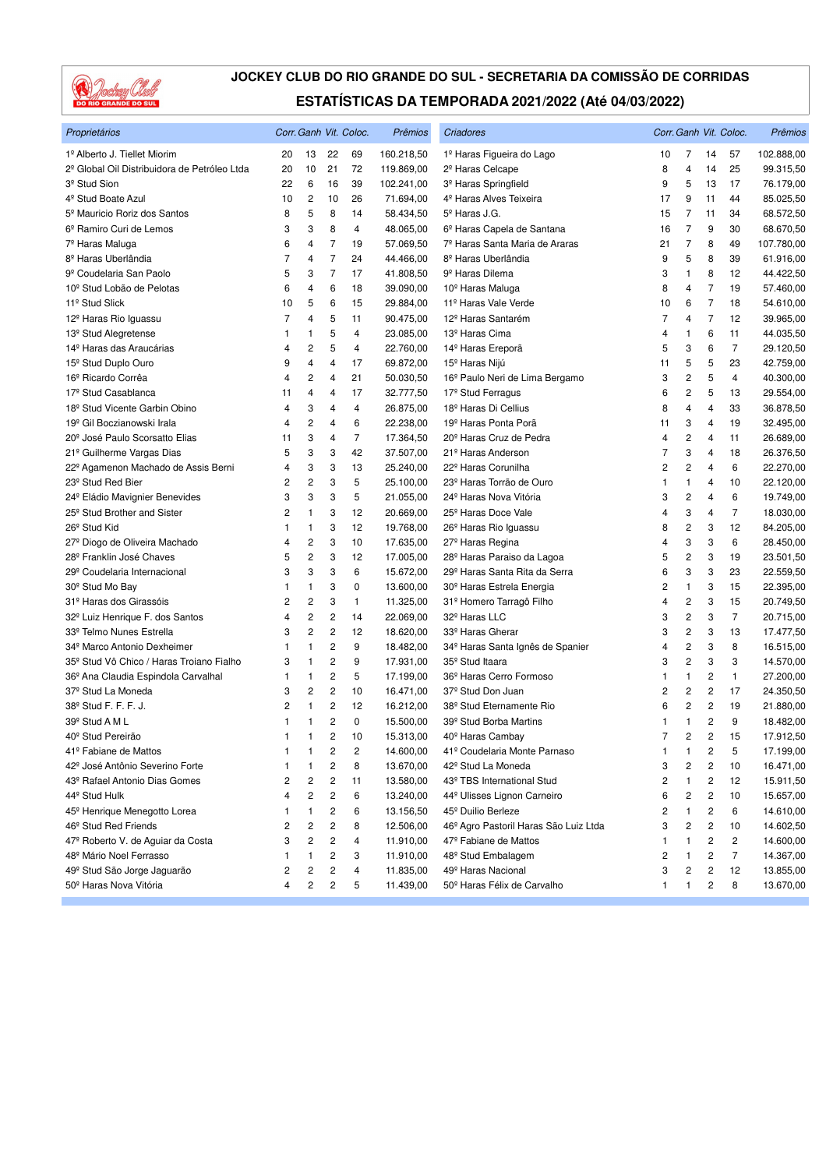

| Proprietários                                            |                |                |                | Corr. Ganh Vit. Coloc. | Prêmios                | Criadores                                                    |                |                         |                | Corr. Ganh Vit. Coloc. | Prêmios    |
|----------------------------------------------------------|----------------|----------------|----------------|------------------------|------------------------|--------------------------------------------------------------|----------------|-------------------------|----------------|------------------------|------------|
| 1º Alberto J. Tiellet Miorim                             | 20             | 13             | 22             | 69                     | 160.218,50             | 1º Haras Figueira do Lago                                    | 10             | 7                       | 14             | 57                     | 102.888,00 |
| 2 <sup>º</sup> Global Oil Distribuidora de Petróleo Ltda | 20             | 10             | 21             | 72                     | 119.869,00             | 2 <sup>º</sup> Haras Celcape                                 | 8              | 4                       | 14             | 25                     | 99.315,50  |
| 3 <sup>º</sup> Stud Sion                                 | 22             | 6              | 16             | 39                     | 102.241,00             | 3 <sup>º</sup> Haras Springfield                             | 9              | 5                       | 13             | 17                     | 76.179,00  |
| 4 <sup>º</sup> Stud Boate Azul                           | 10             | $\overline{c}$ | 10             | 26                     | 71.694,00              | 4 <sup>º</sup> Haras Alves Teixeira                          | 17             | 9                       | 11             | 44                     | 85.025,50  |
| 5 <sup>º</sup> Mauricio Roriz dos Santos                 | 8              | 5              | 8              | 14                     | 58.434,50              | 5 <sup>º</sup> Haras J.G.                                    | 15             | 7                       | 11             | 34                     | 68.572,50  |
| 6º Ramiro Curi de Lemos                                  | 3              | 3              | 8              | 4                      | 48.065,00              | 6 <sup>º</sup> Haras Capela de Santana                       | 16             | 7                       | 9              | 30                     | 68.670,50  |
| 7º Haras Maluga                                          | 6              | 4              | $\overline{7}$ | 19                     | 57.069,50              | 7º Haras Santa Maria de Araras                               | 21             | $\overline{7}$          | 8              | 49                     | 107.780,00 |
| 8 <sup>º</sup> Haras Uberlândia                          | $\overline{7}$ | 4              | $\overline{7}$ | 24                     | 44.466,00              | 8 <sup>º</sup> Haras Uberlândia                              | 9              | 5                       | 8              | 39                     | 61.916,00  |
| 9 <sup>º</sup> Coudelaria San Paolo                      | 5              | 3              | $\overline{7}$ | 17                     | 41.808,50              | 9º Haras Dilema                                              | 3              | 1                       | 8              | 12                     | 44.422,50  |
| 10 <sup>°</sup> Stud Lobão de Pelotas                    | 6              | 4              | 6              | 18                     | 39.090,00              | 10 <sup>°</sup> Haras Maluga                                 | 8              | 4                       | 7              | 19                     | 57.460,00  |
| 11 <sup>º</sup> Stud Slick                               | 10             | 5              | 6              | 15                     | 29.884,00              | 11 <sup>º</sup> Haras Vale Verde                             | 10             | 6                       | $\overline{7}$ | 18                     | 54.610,00  |
| 12 <sup>º</sup> Haras Rio Iguassu                        | 7              | 4              | 5              | 11                     | 90.475,00              | 12 <sup>º</sup> Haras Santarém                               | 7              | 4                       | $\overline{7}$ | 12                     | 39.965,00  |
| 13 <sup>º</sup> Stud Alegretense                         | 1              | 1              | 5              | 4                      | 23.085,00              | 13 <sup>º</sup> Haras Cima                                   | 4              | 1                       | 6              | 11                     | 44.035,50  |
| 14 <sup>º</sup> Haras das Araucárias                     | 4              | 2              | 5              | $\overline{4}$         | 22.760,00              | 14 <sup>°</sup> Haras Ereporã                                | 5              | 3                       | 6              | $\overline{7}$         | 29.120,50  |
| 15 <sup>°</sup> Stud Duplo Ouro                          | 9              | 4              | 4              | 17                     | 69.872,00              | 15 <sup>°</sup> Haras Nijú                                   | 11             | 5                       | 5              | 23                     | 42.759,00  |
| 16 <sup>º</sup> Ricardo Corrêa                           | 4              | 2              | 4              | 21                     | 50.030,50              | 16 <sup>°</sup> Paulo Neri de Lima Bergamo                   | 3              | $\overline{c}$          | 5              | 4                      | 40.300,00  |
| 17 <sup>º</sup> Stud Casablanca                          | 11             | 4              | 4              | 17                     | 32.777,50              | 17 <sup>º</sup> Stud Ferragus                                | 6              | 2                       | 5              | 13                     | 29.554,00  |
| 18 <sup>°</sup> Stud Vicente Garbin Obino                | 4              | 3              | 4              | $\overline{4}$         | 26.875,00              | 18 <sup>º</sup> Haras Di Cellius                             | 8              | 4                       | 4              | 33                     | 36.878,50  |
| 19 <sup>º</sup> Gil Boczianowski Irala                   | 4              | 2              | 4              | 6                      | 22.238,00              | 19 <sup>º</sup> Haras Ponta Porã                             | 11             | 3                       | 4              | 19                     | 32.495,00  |
| 20 <sup>°</sup> José Paulo Scorsatto Elias               | 11             | 3              | 4              | $\overline{7}$         | 17.364,50              | 20 <sup>°</sup> Haras Cruz de Pedra                          | 4              | 2                       | 4              | 11                     | 26.689,00  |
| 21º Guilherme Vargas Dias                                | 5              | 3              | 3              | 42                     | 37.507,00              | 21 <sup>º</sup> Haras Anderson                               | 7              | 3                       | 4              | 18                     | 26.376,50  |
| 22º Agamenon Machado de Assis Berni                      | 4              | 3              | 3              | 13                     | 25.240,00              | 22 <sup>°</sup> Haras Corunilha                              | 2              | 2                       | 4              | 6                      | 22.270,00  |
| 23 <sup>°</sup> Stud Red Bier                            | 2              | 2              | 3              | 5                      | 25.100,00              | 23 <sup>º</sup> Haras Torrão de Ouro                         | 1              | 1                       | 4              | 10                     | 22.120,00  |
| 24 <sup>°</sup> Eládio Mavignier Benevides               | 3              | 3              | 3              | 5                      | 21.055,00              | 24 <sup>º</sup> Haras Nova Vitória                           | 3              | $\overline{\mathbf{c}}$ | 4              | 6                      | 19.749,00  |
| 25 <sup>°</sup> Stud Brother and Sister                  | 2              | $\mathbf{1}$   | 3              | 12                     | 20.669,00              | 25 <sup>°</sup> Haras Doce Vale                              | 4              | 3                       | 4              | $\overline{7}$         | 18.030,00  |
| 26 <sup>°</sup> Stud Kid                                 | 1              | 1              | 3              | 12                     | 19.768,00              | 26 <sup>°</sup> Haras Rio Iguassu                            | 8              | 2                       | 3              | 12                     | 84.205,00  |
| 27º Diogo de Oliveira Machado                            | 4              | 2              | 3              | 10                     | 17.635,00              | 27 <sup>°</sup> Haras Regina                                 | 4              | 3                       | 3              | 6                      | 28.450,00  |
| 28 <sup>°</sup> Franklin José Chaves                     | 5              | 2              | 3              | 12                     | 17.005,00              | 28º Haras Paraiso da Lagoa                                   | 5              | $\overline{\mathbf{c}}$ | 3              | 19                     | 23.501,50  |
| 29º Coudelaria Internacional                             | 3              | 3              | 3              | 6                      | 15.672,00              | 29º Haras Santa Rita da Serra                                | 6              | 3                       | 3              | 23                     | 22.559,50  |
| 30 <sup>°</sup> Stud Mo Bay                              | 1              | 1              | 3              | 0                      | 13.600,00              | 30 <sup>°</sup> Haras Estrela Energia                        | 2              | 1                       | 3              | 15                     | 22.395,00  |
| 31º Haras dos Girassóis                                  | 2              | 2              | 3              | 1                      | 11.325,00              | 31º Homero Tarragô Filho                                     | 4              | 2                       | 3              | 15                     | 20.749,50  |
| 32 <sup>°</sup> Luiz Henrique F. dos Santos              | 4              | 2              | 2              | 14                     | 22.069,00              | 32º Haras LLC                                                | 3              | 2                       | 3              | $\overline{7}$         | 20.715,00  |
| 33º Telmo Nunes Estrella                                 | 3              | 2              | 2              | 12                     | 18.620,00              | 33 <sup>º</sup> Haras Gherar                                 | 3              | $\overline{\mathbf{c}}$ | 3              | 13                     | 17.477,50  |
| 34 <sup>°</sup> Marco Antonio Dexheimer                  | 1              | 1              | 2              | 9                      | 18.482,00              | 34 <sup>º</sup> Haras Santa Ignês de Spanier                 | 4              | $\mathbf 2$             | 3              | 8                      | 16.515,00  |
| 35 <sup>°</sup> Stud Vô Chico / Haras Troiano Fialho     | 3              | -1             | 2              | 9                      | 17.931,00              | 35 <sup>°</sup> Stud Itaara                                  | 3              | $\overline{c}$          | 3              | 3                      | 14.570,00  |
| 36º Ana Claudia Espindola Carvalhal                      | 1              | 1              | 2              | 5                      | 17.199,00              | 36º Haras Cerro Formoso                                      | 1              | 1                       | 2              | $\mathbf{1}$           | 27.200,00  |
| 37 <sup>º</sup> Stud La Moneda                           | 3              | 2              | 2              | 10                     | 16.471,00              | 37 <sup>º</sup> Stud Don Juan                                | 2              | 2                       | 2              | 17                     | 24.350,50  |
| 38 <sup>°</sup> Stud F. F. F. J.                         | 2              | $\mathbf{1}$   | 2              | 12                     | 16.212,00              | 38º Stud Eternamente Rio                                     | 6              | 2                       | 2              | 19                     | 21.880,00  |
| 39 <sup>°</sup> Stud A M L                               | 1              | 1              | $\overline{c}$ | 0                      | 15.500,00              | 39º Stud Borba Martins                                       | 1              | $\mathbf{1}$            | 2              | 9                      | 18.482,00  |
| 40 <sup>°</sup> Stud Pereirão                            |                | 1              | 2              | 10                     | 15.313,00              |                                                              | $\overline{7}$ | 2                       | 2              | 15                     |            |
| 41º Fabiane de Mattos                                    | 1              | 1              |                |                        |                        | 40 <sup>°</sup> Haras Cambay<br>41º Coudelaria Monte Parnaso | 1              | 1                       | 2              | 5                      | 17.912,50  |
| 42 <sup>º</sup> José Antônio Severino Forte              | 1              |                | 2              | 2                      | 14.600,00<br>13.670,00 |                                                              |                |                         |                |                        | 17.199,00  |
| 43 <sup>°</sup> Rafael Antonio Dias Gomes                | 1              | 1              | 2<br>2         | 8                      | 13.580,00              | 42 <sup>°</sup> Stud La Moneda                               | 3              | 2                       | 2<br>2         | 10                     | 16.471,00  |
|                                                          | 2              | 2              |                | 11                     |                        | 43º TBS International Stud                                   | 2              | 1                       |                | 12                     | 15.911,50  |
| 44 <sup>°</sup> Stud Hulk                                | 4              | 2              | 2              | 6                      | 13.240,00              | 44 <sup>º</sup> Ulisses Lignon Carneiro                      | 6              | 2                       | 2              | 10                     | 15.657,00  |
| 45 <sup>°</sup> Henrique Menegotto Lorea                 |                | 1              | 2              | 6                      | 13.156,50              | 45 <sup>°</sup> Duilio Berleze                               | 2              | 1                       | 2              | 6                      | 14.610,00  |
| 46 <sup>°</sup> Stud Red Friends                         | 2              | 2              | 2              | 8                      | 12.506,00              | 46 <sup>°</sup> Agro Pastoril Haras São Luiz Ltda            | 3              | 2                       | 2              | 10                     | 14.602,50  |
| 47º Roberto V. de Aguiar da Costa                        | 3              | 2              | 2              | 4                      | 11.910,00              | 47º Fabiane de Mattos                                        | 1              | 1                       | 2              | 2                      | 14.600,00  |
| 48º Mário Noel Ferrasso                                  | 1              | 1              | 2              | 3                      | 11.910,00              | 48 <sup>°</sup> Stud Embalagem                               | 2              | 1                       | 2              | $\overline{7}$         | 14.367,00  |
| 49 <sup>°</sup> Stud São Jorge Jaguarão                  | 2              | 2              | 2              | 4                      | 11.835,00              | 49 <sup>º</sup> Haras Nacional                               | 3              | 2                       | 2              | 12                     | 13.855,00  |
| 50º Haras Nova Vitória                                   | 4              | 2              | 2              | 5                      | 11.439,00              | 50 <sup>°</sup> Haras Félix de Carvalho                      | 1              | 1                       | 2              | 8                      | 13.670,00  |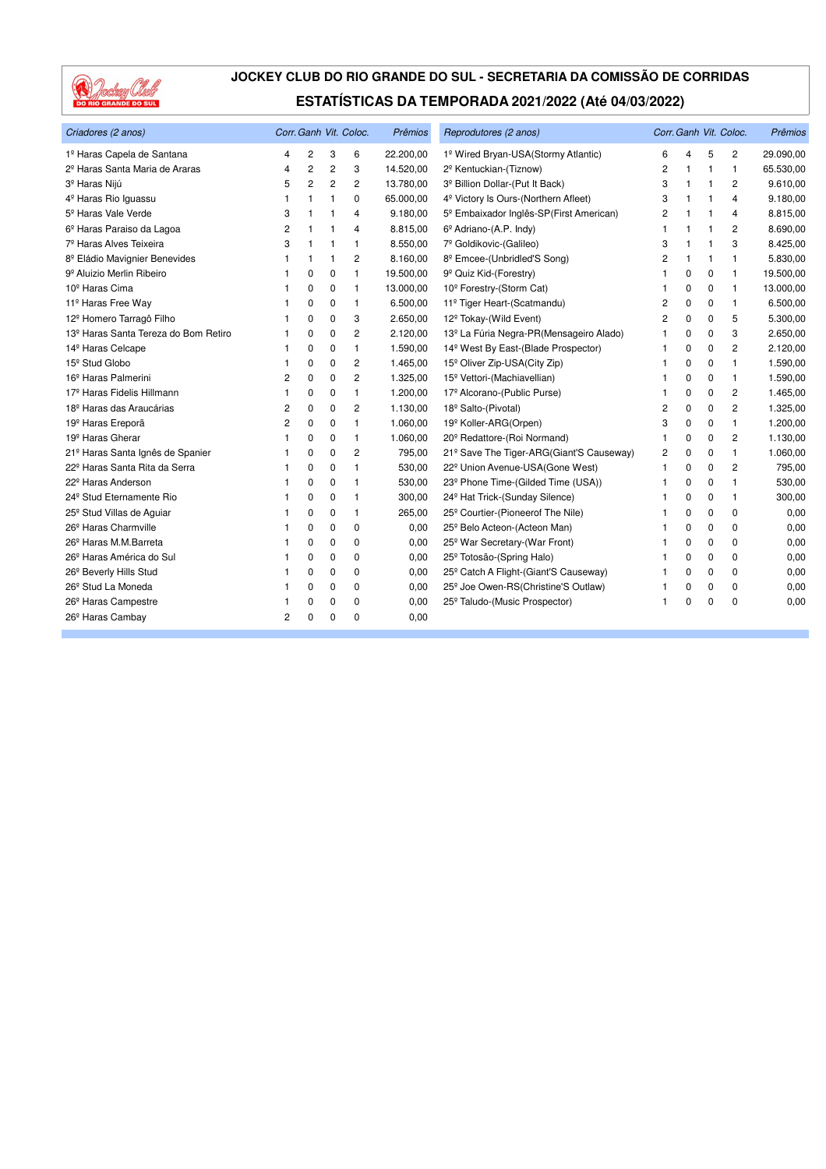

| Criadores (2 anos)                               |    |                |                | Corr. Ganh Vit. Coloc. | <b>Prêmios</b> | Reprodutores (2 anos)                             |                |              |             | Corr. Ganh Vit. Coloc. | Prêmios   |
|--------------------------------------------------|----|----------------|----------------|------------------------|----------------|---------------------------------------------------|----------------|--------------|-------------|------------------------|-----------|
| 1º Haras Capela de Santana                       | 4  | 2              | 3              | 6                      | 22.200,00      | 1º Wired Bryan-USA(Stormy Atlantic)               | 6              | 4            | 5           | 2                      | 29.090,00 |
| 2 <sup>º</sup> Haras Santa Maria de Araras       | 4  | $\overline{c}$ | $\overline{2}$ | 3                      | 14.520,00      | 2º Kentuckian-(Tiznow)                            | $\overline{2}$ | 1            | 1           | 1                      | 65.530,00 |
| 3 <sup>º</sup> Haras Nijú                        | 5  | $\overline{c}$ | $\overline{2}$ | 2                      | 13.780,00      | 3º Billion Dollar-(Put It Back)                   | 3              | $\mathbf{1}$ | 1           | 2                      | 9.610,00  |
| 4 <sup>º</sup> Haras Rio Iguassu                 | 1  |                | 1              | 0                      | 65.000,00      | 4 <sup>º</sup> Victory Is Ours-(Northern Afleet)  | 3              |              |             | 4                      | 9.180,00  |
| 5 <sup>°</sup> Haras Vale Verde                  | 3  | -1             | 1              | 4                      | 9.180,00       | 5º Embaixador Inglês-SP(First American)           | 2              |              | 1           | 4                      | 8.815,00  |
| 6º Haras Paraiso da Lagoa                        | 2  |                | 1              | 4                      | 8.815,00       | 6 <sup>°</sup> Adriano-(A.P. Indy)                | 1              | 1            | 1           | 2                      | 8.690,00  |
| 7 <sup>º</sup> Haras Alves Teixeira              | 3  |                | 1              | 1                      | 8.550,00       | 7º Goldikovic-(Galileo)                           | 3              | -1           | 1           | 3                      | 8.425,00  |
| 8º Eládio Mavignier Benevides                    | -1 | 1              | 1              | 2                      | 8.160,00       | 8º Emcee-(Unbridled'S Song)                       | 2              | -1           | 1           | 1                      | 5.830,00  |
| 9º Aluizio Merlin Ribeiro                        |    | 0              | 0              | 1                      | 19.500,00      | 9 <sup>º</sup> Quiz Kid-(Forestry)                |                | 0            | 0           | 1                      | 19.500,00 |
| 10 <sup>º</sup> Haras Cima                       |    | 0              | 0              | $\mathbf{1}$           | 13.000,00      | 10 <sup>°</sup> Forestry-(Storm Cat)              | 1              | 0            | $\mathbf 0$ | 1                      | 13.000,00 |
| 11º Haras Free Way                               |    | 0              | 0              | $\mathbf{1}$           | 6.500,00       | 11º Tiger Heart-(Scatmandu)                       | 2              | 0            | 0           | $\mathbf{1}$           | 6.500,00  |
| 12 <sup>º</sup> Homero Tarragô Filho             |    | 0              | 0              | 3                      | 2.650,00       | 12 <sup>°</sup> Tokay-(Wild Event)                | 2              | $\mathbf 0$  | 0           | 5                      | 5.300,00  |
| 13 <sup>º</sup> Haras Santa Tereza do Bom Retiro |    | 0              | 0              | 2                      | 2.120,00       | 13º La Fúria Negra-PR(Mensageiro Alado)           | 1              | $\mathbf 0$  | 0           | 3                      | 2.650,00  |
| 14 <sup>º</sup> Haras Celcape                    |    | $\Omega$       | 0              | $\mathbf{1}$           | 1.590,00       | 14 <sup>°</sup> West By East-(Blade Prospector)   | 1              | $\mathbf 0$  | 0           | $\overline{c}$         | 2.120,00  |
| 15 <sup>°</sup> Stud Globo                       |    | 0              | 0              | 2                      | 1.465,00       | 15 <sup>°</sup> Oliver Zip-USA(City Zip)          |                | $\mathbf 0$  | 0           | 1                      | 1.590,00  |
| 16 <sup>º</sup> Haras Palmerini                  | 2  | $\mathbf 0$    | 0              | 2                      | 1.325,00       | 15 <sup>°</sup> Vettori-(Machiavellian)           |                | 0            | 0           | $\mathbf{1}$           | 1.590,00  |
| 17 <sup>º</sup> Haras Fidelis Hillmann           | -1 | 0              | 0              | 1                      | 1.200,00       | 17º Alcorano-(Public Purse)                       | 1              | 0            | 0           | $\overline{c}$         | 1.465,00  |
| 18 <sup>º</sup> Haras das Araucárias             | 2  | 0              | 0              | 2                      | 1.130,00       | 18 <sup>º</sup> Salto-(Pivotal)                   | 2              | $\mathbf 0$  | 0           | $\overline{2}$         | 1.325,00  |
| 19 <sup>º</sup> Haras Ereporã                    | 2  | 0              | 0              | 1                      | 1.060,00       | 19 <sup>º</sup> Koller-ARG(Orpen)                 | 3              | $\mathbf 0$  | 0           | 1                      | 1.200,00  |
| 19 <sup>º</sup> Haras Gherar                     |    | 0              | 0              | $\mathbf{1}$           | 1.060,00       | 20 <sup>°</sup> Redattore-(Roi Normand)           | 1              | $\mathbf 0$  | 0           | $\overline{c}$         | 1.130,00  |
| 21º Haras Santa Ignês de Spanier                 |    | 0              | $\mathbf 0$    | 2                      | 795,00         | 21º Save The Tiger-ARG(Giant'S Causeway)          | 2              | 0            | 0           | 1                      | 1.060,00  |
| 22º Haras Santa Rita da Serra                    |    | $\mathbf 0$    | 0              | $\mathbf{1}$           | 530,00         | 22º Union Avenue-USA(Gone West)                   | 1              | 0            | 0           | 2                      | 795,00    |
| 22 <sup>°</sup> Haras Anderson                   |    | 0              | 0              | 1                      | 530,00         | 23º Phone Time-(Gilded Time (USA))                | 1              | $\mathbf 0$  | 0           | 1                      | 530,00    |
| 24 <sup>°</sup> Stud Eternamente Rio             |    | 0              | 0              | 1                      | 300,00         | 24 <sup>°</sup> Hat Trick-(Sunday Silence)        | 1              | $\mathbf 0$  | 0           | 1                      | 300,00    |
| 25 <sup>°</sup> Stud Villas de Aguiar            |    | 0              | 0              | 1                      | 265,00         | 25 <sup>°</sup> Courtier-(Pioneerof The Nile)     | 1              | $\mathbf 0$  | 0           | 0                      | 0,00      |
| 26 <sup>°</sup> Haras Charmville                 |    | 0              | 0              | 0                      | 0,00           | 25º Belo Acteon-(Acteon Man)                      | 1              | $\mathbf 0$  | $\Omega$    | $\Omega$               | 0,00      |
| 26 <sup>°</sup> Haras M.M.Barreta                |    | 0              | 0              | 0                      | 0,00           | 25 <sup>°</sup> War Secretary-(War Front)         |                | $\mathbf 0$  | $\mathbf 0$ | 0                      | 0,00      |
| 26 <sup>°</sup> Haras América do Sul             |    | 0              | 0              | 0                      | 0,00           | 25 <sup>°</sup> Totosão-(Spring Halo)             |                | $\mathbf 0$  | 0           | 0                      | 0,00      |
| 26 <sup>°</sup> Beverly Hills Stud               |    | 0              | 0              | 0                      | 0,00           | 25 <sup>°</sup> Catch A Flight-(Giant'S Causeway) |                | $\mathbf 0$  | 0           | 0                      | 0,00      |
| 26 <sup>°</sup> Stud La Moneda                   |    | 0              | 0              | 0                      | 0,00           | 25 <sup>°</sup> Joe Owen-RS(Christine'S Outlaw)   | 1              | 0            | 0           | 0                      | 0,00      |
| 26 <sup>°</sup> Haras Campestre                  |    | 0              | 0              | 0                      | 0,00           | 25 <sup>°</sup> Taludo-(Music Prospector)         | 1              | $\Omega$     | $\Omega$    | $\Omega$               | 0,00      |
| 26 <sup>°</sup> Haras Cambay                     | 2  | $\Omega$       | $\Omega$       | $\Omega$               | 0,00           |                                                   |                |              |             |                        |           |